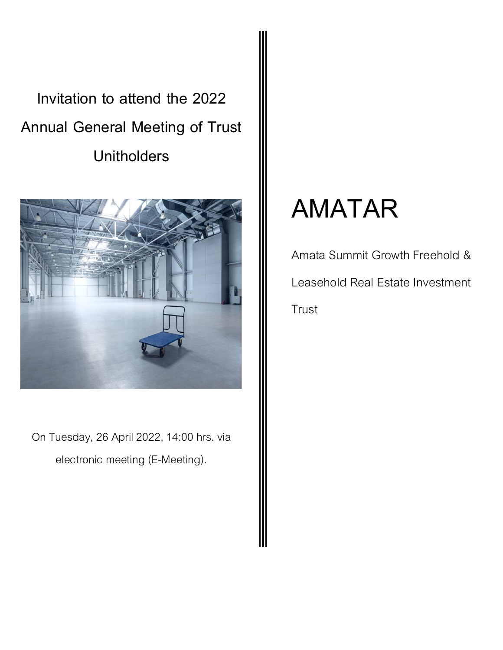Invitation to attend the 2022 Annual General Meeting of Trust **Unitholders** 



On Tuesday, 26 April 2022, 14:00 hrs. via electronic meeting (E-Meeting).

# AMATAR

Amata Summit Growth Freehold & Leasehold Real Estate Investment **Trust**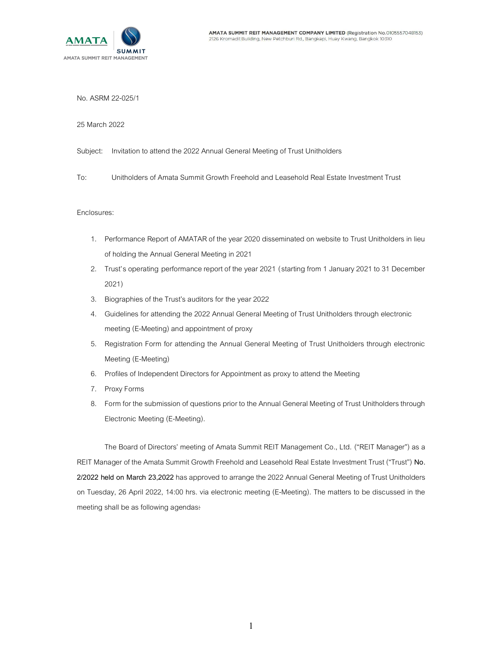

No. ASRM 22-025/1

25 March 2022

- Subject: Invitation to attend the 2022 Annual General Meeting of Trust Unitholders
- To: Unitholders of Amata Summit Growth Freehold and Leasehold Real Estate Investment Trust

## Enclosures:

- 1. Performance Report of AMATAR of the year 2020 disseminated on website to Trust Unitholders in lieu of holding the Annual General Meeting in 2021
- 2. Trust's operating performance report of the year 2021 (starting from 1 January 2021 to 31 December 2021)
- 3. Biographies of the Trust's auditors for the year 2022
- 4. Guidelines for attending the 2022 Annual General Meeting of Trust Unitholders through electronic meeting (E-Meeting) and appointment of proxy
- 5. Registration Form for attending the Annual General Meeting of Trust Unitholders through electronic Meeting (E-Meeting)
- 6. Profiles of Independent Directors for Appointment as proxy to attend the Meeting
- 7. Proxy Forms
- 8. Form for the submission of questions prior to the Annual General Meeting of Trust Unitholders through Electronic Meeting (E-Meeting).

The Board of Directors' meeting of Amata Summit REIT Management Co., Ltd. ("REIT Manager") as a REIT Manager of the Amata Summit Growth Freehold and Leasehold Real Estate Investment Trust ("Trust") No. 2/2022 held on March 23,2022 has approved to arrange the 2022 Annual General Meeting of Trust Unitholders on Tuesday, 26 April 2022, 14:00 hrs. via electronic meeting (E-Meeting). The matters to be discussed in the meeting shall be as following agendas: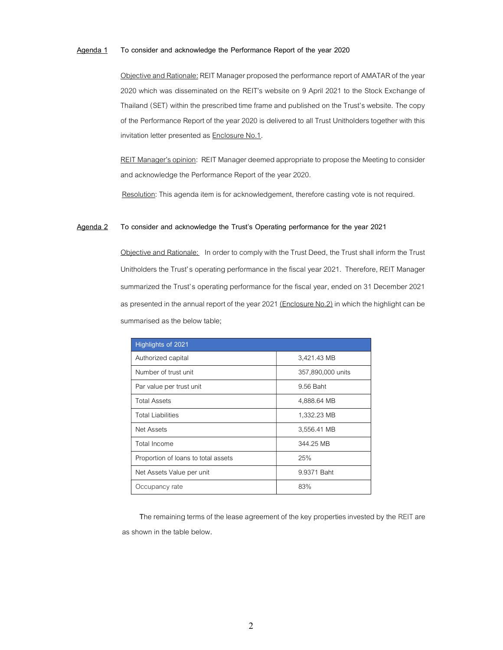## Agenda 1 To consider and acknowledge the Performance Report of the year 2020

Objective and Rationale: REIT Manager proposed the performance report of AMATAR of the year 2020 which was disseminated on the REIT's website on 9 April 2021 to the Stock Exchange of Thailand (SET) within the prescribed time frame and published on the Trust's website. The copy of the Performance Report of the year 2020 is delivered to all Trust Unitholders together with this invitation letter presented as Enclosure No.1.

REIT Manager's opinion: REIT Manager deemed appropriate to propose the Meeting to consider and acknowledge the Performance Report of the year 2020.

Resolution: This agenda item is for acknowledgement, therefore casting vote is not required.

## Agenda 2 To consider and acknowledge the Trust's Operating performance for the year 2021

Objective and Rationale: In order to comply with the Trust Deed, the Trust shall inform the Trust Unitholders the Trust' s operating performance in the fiscal year 2021. Therefore, REIT Manager summarized the Trust's operating performance for the fiscal year, ended on 31 December 2021 as presented in the annual report of the year 2021 (Enclosure No.2) in which the highlight can be summarised as the below table;

| Highlights of 2021                  |                   |
|-------------------------------------|-------------------|
| Authorized capital                  | 3,421.43 MB       |
| Number of trust unit                | 357,890,000 units |
| Par value per trust unit            | 9.56 Baht         |
| <b>Total Assets</b>                 | 4,888.64 MB       |
| <b>Total Liabilities</b>            | 1,332.23 MB       |
| Net Assets                          | 3,556.41 MB       |
| Total Income                        | 344.25 MB         |
| Proportion of loans to total assets | 25%               |
| Net Assets Value per unit           | 9.9371 Baht       |
| Occupancy rate                      | 83%               |

The remaining terms of the lease agreement of the key properties invested by the REIT are as shown in the table below.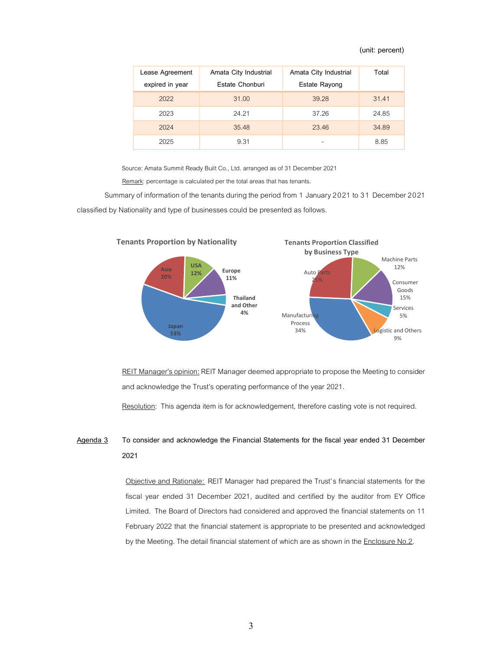## (unit: percent)

| Lease Agreement | Amata City Industrial | Amata City Industrial | Total |
|-----------------|-----------------------|-----------------------|-------|
| expired in year | Estate Chonburi       | Estate Rayong         |       |
| 2022            | 31.00                 | 39.28                 | 31.41 |
| 2023            | 24.21                 | 37.26                 | 24.85 |
| 2024            | 35.48                 | 23.46                 | 34.89 |
| 2025            | 9.31                  | -                     | 8.85  |

Source: Amata Summit Ready Built Co., Ltd. arranged as of 31 December 2021

Remark: percentage is calculated per the total areas that has tenants.

Summary of information of the tenants during the period from 1 January 2021 to 31 December 2021 classified by Nationality and type of businesses could be presented as follows.



REIT Manager's opinion: REIT Manager deemed appropriate to propose the Meeting to consider and acknowledge the Trust's operating performance of the year 2021.

Resolution: This agenda item is for acknowledgement, therefore casting vote is not required.

# Agenda 3 To consider and acknowledge the Financial Statements for the fiscal year ended 31 December 2021

Objective and Rationale: REIT Manager had prepared the Trust's financial statements for the fiscal year ended 31 December 2021, audited and certified by the auditor from EY Office Limited. The Board of Directors had considered and approved the financial statements on 11 February 2022 that the financial statement is appropriate to be presented and acknowledged by the Meeting. The detail financial statement of which are as shown in the Enclosure No.2.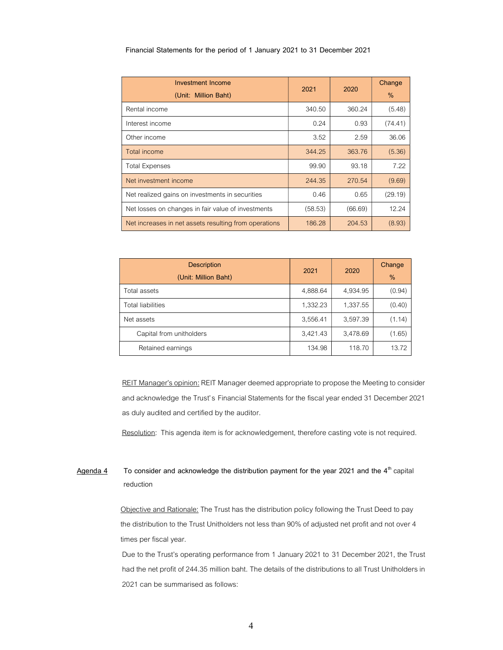| Financial Statements for the period of 1 January 2021 to 31 December 2021 |  |
|---------------------------------------------------------------------------|--|
|---------------------------------------------------------------------------|--|

| <b>Investment Income</b><br>(Unit: Million Baht)      | 2021    | 2020    | Change<br>$\%$ |
|-------------------------------------------------------|---------|---------|----------------|
| Rental income                                         | 340.50  | 360.24  | (5.48)         |
| Interest income                                       | 0.24    | 0.93    | (74.41)        |
| Other income                                          | 3.52    | 2.59    | 36.06          |
| Total income                                          | 344.25  | 363.76  | (5.36)         |
| <b>Total Expenses</b>                                 | 99.90   | 93.18   | 7.22           |
| Net investment income                                 | 244.35  | 270.54  | (9.69)         |
| Net realized gains on investments in securities       | 0.46    | 0.65    | (29.19)        |
| Net losses on changes in fair value of investments    | (58.53) | (66.69) | 12.24          |
| Net increases in net assets resulting from operations | 186.28  | 204.53  | (8.93)         |

| <b>Description</b><br>(Unit: Million Baht) | 2021     | 2020     | Change<br>% |
|--------------------------------------------|----------|----------|-------------|
| Total assets                               | 4,888.64 | 4,934.95 | (0.94)      |
| <b>Total liabilities</b>                   | 1,332.23 | 1,337.55 | (0.40)      |
| Net assets                                 | 3,556.41 | 3,597.39 | (1.14)      |
| Capital from unitholders                   | 3,421.43 | 3,478.69 | (1.65)      |
| Retained earnings                          | 134.98   | 118.70   | 13.72       |

REIT Manager's opinion: REIT Manager deemed appropriate to propose the Meeting to consider and acknowledge the Trust's Financial Statements for the fiscal year ended 31 December 2021 as duly audited and certified by the auditor.

Resolution: This agenda item is for acknowledgement, therefore casting vote is not required.

# $\frac{\text{Agenda } 4}{\text{To consider and acknowledge the distribution payment for the year 2021 and the 4<sup>th</sup> capital}}$ reduction

Objective and Rationale: The Trust has the distribution policy following the Trust Deed to pay the distribution to the Trust Unitholders not less than 90% of adjusted net profit and not over 4 times per fiscal year.

Due to the Trust's operating performance from 1 January 2021 to 31 December 2021, the Trust had the net profit of 244.35 million baht. The details of the distributions to all Trust Unitholders in 2021 can be summarised as follows: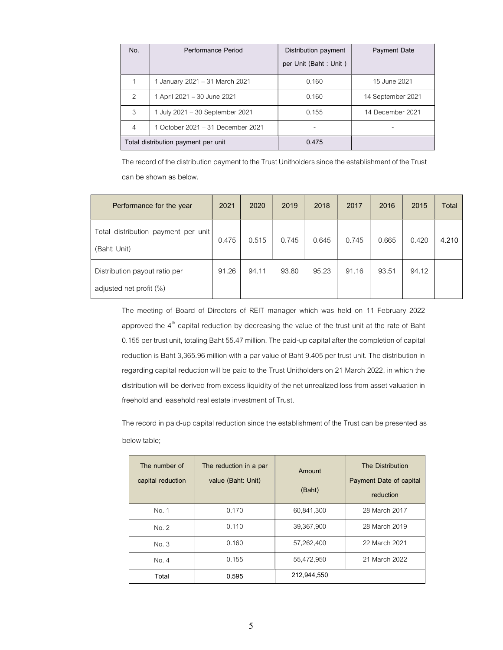| No.                                 | Performance Period                | Distribution payment<br>per Unit (Baht: Unit) | <b>Payment Date</b> |
|-------------------------------------|-----------------------------------|-----------------------------------------------|---------------------|
|                                     | 1 January 2021 – 31 March 2021    | 0.160                                         | 15 June 2021        |
| $\mathcal{P}$                       | 1 April 2021 – 30 June 2021       | 0.160                                         | 14 September 2021   |
| 3                                   | 1 July 2021 - 30 September 2021   | 0.155                                         | 14 December 2021    |
| 4                                   | 1 October 2021 – 31 December 2021 |                                               |                     |
| Total distribution payment per unit |                                   | 0.475                                         |                     |

The record of the distribution payment to the Trust Unitholders since the establishment of the Trust can be shown as below.

| Performance for the year                                 | 2021  | 2020  | 2019  | 2018  | 2017  | 2016  | 2015  | Total |
|----------------------------------------------------------|-------|-------|-------|-------|-------|-------|-------|-------|
| Total distribution payment per unit<br>(Baht: Unit)      | 0.475 | 0.515 | 0.745 | 0.645 | 0.745 | 0.665 | 0.420 | 4.210 |
| Distribution payout ratio per<br>adjusted net profit (%) | 91.26 | 94.11 | 93.80 | 95.23 | 91.16 | 93.51 | 94.12 |       |

The meeting of Board of Directors of REIT manager which was held on 11 February 2022 approved the  $4<sup>th</sup>$  capital reduction by decreasing the value of the trust unit at the rate of Baht 0.155 per trust unit, totaling Baht 55.47 million. The paid-up capital after the completion of capital reduction is Baht 3,365.96 million with a par value of Baht 9.405 per trust unit. The distribution in regarding capital reduction will be paid to the Trust Unitholders on 21 March 2022, in which the distribution will be derived from excess liquidity of the net unrealized loss from asset valuation in freehold and leasehold real estate investment of Trust.

The record in paid-up capital reduction since the establishment of the Trust can be presented as below table;

| The number of<br>capital reduction | The reduction in a par<br>value (Baht: Unit) | Amount<br>(Baht) | <b>The Distribution</b><br>Payment Date of capital<br>reduction |
|------------------------------------|----------------------------------------------|------------------|-----------------------------------------------------------------|
| No. 1                              | 0.170                                        | 60,841,300       | 28 March 2017                                                   |
| No. 2                              | 0.110                                        | 39,367,900       | 28 March 2019                                                   |
| No. 3                              | 0.160                                        | 57,262,400       | 22 March 2021                                                   |
| No. 4                              | 0.155                                        | 55,472,950       | 21 March 2022                                                   |
| Total                              | 0.595                                        | 212,944,550      |                                                                 |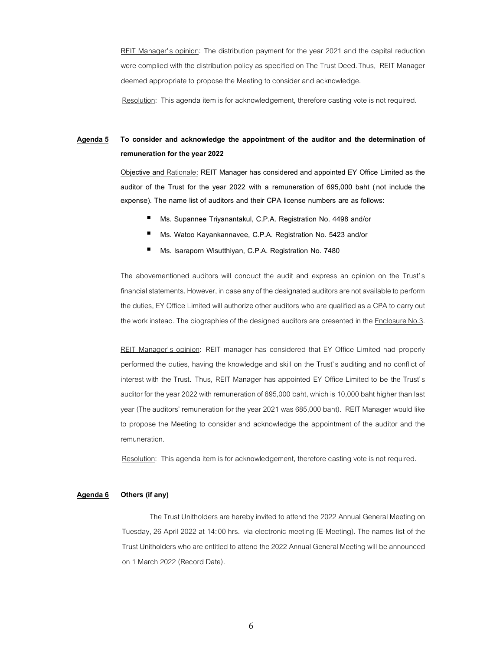REIT Manager's opinion: The distribution payment for the year 2021 and the capital reduction were complied with the distribution policy as specified on The Trust Deed. Thus, REIT Manager deemed appropriate to propose the Meeting to consider and acknowledge.

Resolution: This agenda item is for acknowledgement, therefore casting vote is not required.

# Agenda 5 To consider and acknowledge the appointment of the auditor and the determination of remuneration for the year 2022

Objective and Rationale: REIT Manager has considered and appointed EY Office Limited as the auditor of the Trust for the year 2022 with a remuneration of 695,000 baht (not include the expense). The name list of auditors and their CPA license numbers are as follows:

- Ms. Supannee Triyanantakul, C.P.A. Registration No. 4498 and/or
- Ms. Watoo Kayankannavee, C.P.A. Registration No. 5423 and/or
- Ms. Isaraporn Wisutthiyan, C.P.A. Registration No. 7480

The abovementioned auditors will conduct the audit and express an opinion on the Trust's financial statements. However, in case any of the designated auditors are not available to perform the duties, EY Office Limited will authorize other auditors who are qualified as a CPA to carry out the work instead. The biographies of the designed auditors are presented in the Enclosure No.3.

REIT Manager's opinion: REIT manager has considered that EY Office Limited had properly performed the duties, having the knowledge and skill on the Trust' s auditing and no conflict of interest with the Trust. Thus, REIT Manager has appointed EY Office Limited to be the Trust's auditor for the year 2022 with remuneration of 695,000 baht, which is 10,000 baht higher than last year (The auditors' remuneration for the year 2021 was 685,000 baht). REIT Manager would like to propose the Meeting to consider and acknowledge the appointment of the auditor and the remuneration.

Resolution: This agenda item is for acknowledgement, therefore casting vote is not required.

#### Agenda 6 Others (if any)

The Trust Unitholders are hereby invited to attend the 2022 Annual General Meeting on Tuesday, 26 April 2022 at 14:00 hrs. via electronic meeting (E-Meeting). The names list of the Trust Unitholders who are entitled to attend the 2022 Annual General Meeting will be announced on 1 March 2022 (Record Date).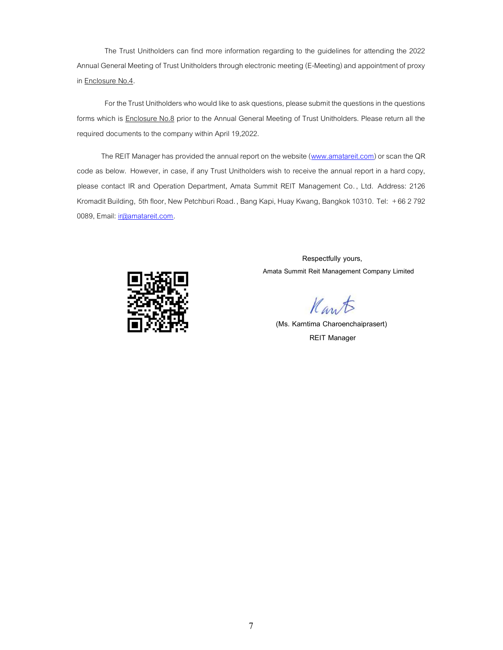The Trust Unitholders can find more information regarding to the guidelines for attending the 2022 Annual General Meeting of Trust Unitholders through electronic meeting (E-Meeting) and appointment of proxy in **Enclosure No.4.** 

For the Trust Unitholders who would like to ask questions, please submit the questions in the questions forms which is **Enclosure No.8** prior to the Annual General Meeting of Trust Unitholders. Please return all the required documents to the company within April 19,2022.

The REIT Manager has provided the annual report on the website (www.amatareit.com) or scan the QR code as below. However, in case, if any Trust Unitholders wish to receive the annual report in a hard copy, please contact IR and Operation Department, Amata Summit REIT Management Co. , Ltd. Address: 2126 Kromadit Building, 5th floor, New Petchburi Road. , Bang Kapi, Huay Kwang, Bangkok 10310. Tel: +66 2 792 0089, Email: ir@amatareit.com.



 Respectfully yours, Amata Summit Reit Management Company Limited

Kant

 (Ms. Karntima Charoenchaiprasert) REIT Manager